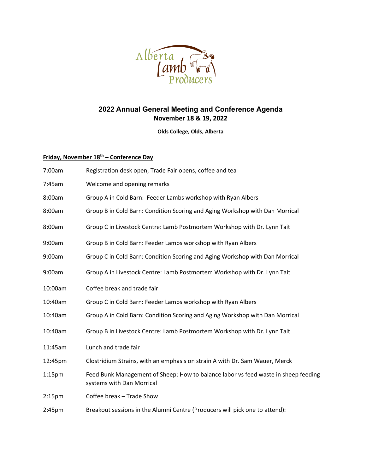

## **2022 Annual General Meeting and Conference Agenda November 18 & 19, 2022**

**Olds College, Olds, Alberta**

## **Friday, November 18th – Conference Day**

| 7:00am             | Registration desk open, Trade Fair opens, coffee and tea                                                        |
|--------------------|-----------------------------------------------------------------------------------------------------------------|
| 7:45am             | Welcome and opening remarks                                                                                     |
| 8:00am             | Group A in Cold Barn: Feeder Lambs workshop with Ryan Albers                                                    |
| 8:00am             | Group B in Cold Barn: Condition Scoring and Aging Workshop with Dan Morrical                                    |
| 8:00am             | Group C in Livestock Centre: Lamb Postmortem Workshop with Dr. Lynn Tait                                        |
| 9:00am             | Group B in Cold Barn: Feeder Lambs workshop with Ryan Albers                                                    |
| 9:00am             | Group C in Cold Barn: Condition Scoring and Aging Workshop with Dan Morrical                                    |
| 9:00am             | Group A in Livestock Centre: Lamb Postmortem Workshop with Dr. Lynn Tait                                        |
| 10:00am            | Coffee break and trade fair                                                                                     |
| 10:40am            | Group C in Cold Barn: Feeder Lambs workshop with Ryan Albers                                                    |
| 10:40am            | Group A in Cold Barn: Condition Scoring and Aging Workshop with Dan Morrical                                    |
| 10:40am            | Group B in Livestock Centre: Lamb Postmortem Workshop with Dr. Lynn Tait                                        |
| 11:45am            | Lunch and trade fair                                                                                            |
| 12:45pm            | Clostridium Strains, with an emphasis on strain A with Dr. Sam Wauer, Merck                                     |
| $1:15$ pm          | Feed Bunk Management of Sheep: How to balance labor vs feed waste in sheep feeding<br>systems with Dan Morrical |
| 2:15 <sub>pm</sub> | Coffee break - Trade Show                                                                                       |
| 2:45pm             | Breakout sessions in the Alumni Centre (Producers will pick one to attend):                                     |